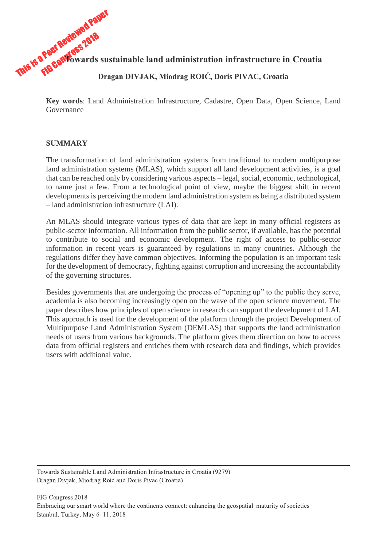This is a Peer Reviewed Paper **The Configuration of the Configuration of the Contrast of the Contrast of the Contrast of the Contrast of the Contrast of the Contrast of the Contrast of the Contrast of the Contrast of the Contrast of the Contrast of the Dragan DIVJAK, Miodrag ROIĆ, Doris PIVAC, Croatia**

> **Key words**: Land Administration Infrastructure, Cadastre, Open Data, Open Science, Land Governance

### **SUMMARY**

The transformation of land administration systems from traditional to modern multipurpose land administration systems (MLAS), which support all land development activities, is a goal that can be reached only by considering various aspects – legal, social, economic, technological, to name just a few. From a technological point of view, maybe the biggest shift in recent developments is perceiving the modern land administration system as being a distributed system – land administration infrastructure (LAI).

An MLAS should integrate various types of data that are kept in many official registers as public-sector information. All information from the public sector, if available, has the potential to contribute to social and economic development. The right of access to public-sector information in recent years is guaranteed by regulations in many countries. Although the regulations differ they have common objectives. Informing the population is an important task for the development of democracy, fighting against corruption and increasing the accountability of the governing structures.

Besides governments that are undergoing the process of "opening up" to the public they serve, academia is also becoming increasingly open on the wave of the open science movement. The paper describes how principles of open science in research can support the development of LAI. This approach is used for the development of the platform through the project Development of Multipurpose Land Administration System (DEMLAS) that supports the land administration needs of users from various backgrounds. The platform gives them direction on how to access data from official registers and enriches them with research data and findings, which provides users with additional value.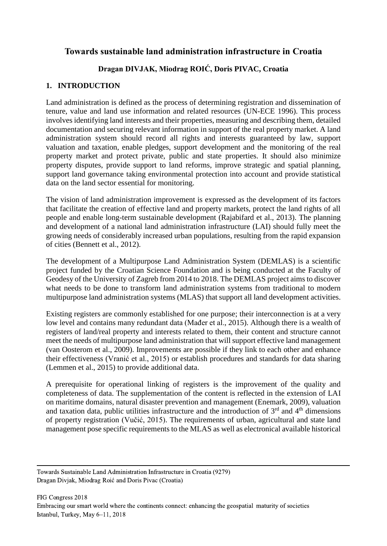# **Towards sustainable land administration infrastructure in Croatia**

# **Dragan DIVJAK, Miodrag ROIĆ, Doris PIVAC, Croatia**

## **1. INTRODUCTION**

Land administration is defined as the process of determining registration and dissemination of tenure, value and land use information and related resources (UN-ECE 1996). This process involves identifying land interests and their properties, measuring and describing them, detailed documentation and securing relevant information in support of the real property market. A land administration system should record all rights and interests guaranteed by law, support valuation and taxation, enable pledges, support development and the monitoring of the real property market and protect private, public and state properties. It should also minimize property disputes, provide support to land reforms, improve strategic and spatial planning, support land governance taking environmental protection into account and provide statistical data on the land sector essential for monitoring.

The vision of land administration improvement is expressed as the development of its factors that facilitate the creation of effective land and property markets, protect the land rights of all people and enable long-term sustainable development (Rajabifard et al., 2013). The planning and development of a national land administration infrastructure (LAI) should fully meet the growing needs of considerably increased urban populations, resulting from the rapid expansion of cities (Bennett et al., 2012).

The development of a Multipurpose Land Administration System (DEMLAS) is a scientific project funded by the Croatian Science Foundation and is being conducted at the Faculty of Geodesy of the University of Zagreb from 2014 to 2018. The DEMLAS project aims to discover what needs to be done to transform land administration systems from traditional to modern multipurpose land administration systems (MLAS) that support all land development activities.

Existing registers are commonly established for one purpose; their interconnection is at a very low level and contains many redundant data (Mađer et al., 2015). Although there is a wealth of registers of land/real property and interests related to them, their content and structure cannot meet the needs of multipurpose land administration that will support effective land management (van Oosterom et al., 2009). Improvements are possible if they link to each other and enhance their effectiveness (Vranić et al., 2015) or establish procedures and standards for data sharing (Lemmen et al., 2015) to provide additional data.

A prerequisite for operational linking of registers is the improvement of the quality and completeness of data. The supplementation of the content is reflected in the extension of LAI on maritime domains, natural disaster prevention and management (Enemark, 2009), valuation and taxation data, public utilities infrastructure and the introduction of  $3<sup>rd</sup>$  and  $4<sup>th</sup>$  dimensions of property registration (Vučić, 2015). The requirements of urban, agricultural and state land management pose specific requirements to the MLAS as well as electronical available historical

Towards Sustainable Land Administration Infrastructure in Croatia (9279) Dragan Divjak, Miodrag Roić and Doris Pivac (Croatia)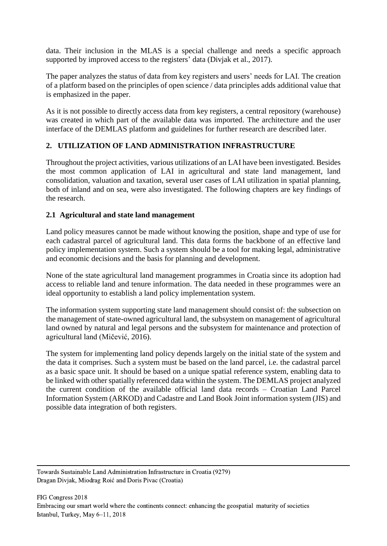data. Their inclusion in the MLAS is a special challenge and needs a specific approach supported by improved access to the registers' data (Divjak et al., 2017).

The paper analyzes the status of data from key registers and users' needs for LAI. The creation of a platform based on the principles of open science / data principles adds additional value that is emphasized in the paper.

As it is not possible to directly access data from key registers, a central repository (warehouse) was created in which part of the available data was imported. The architecture and the user interface of the DEMLAS platform and guidelines for further research are described later.

## **2. UTILIZATION OF LAND ADMINISTRATION INFRASTRUCTURE**

Throughout the project activities, various utilizations of an LAI have been investigated. Besides the most common application of LAI in agricultural and state land management, land consolidation, valuation and taxation, several user cases of LAI utilization in spatial planning, both of inland and on sea, were also investigated. The following chapters are key findings of the research.

## **2.1 Agricultural and state land management**

Land policy measures cannot be made without knowing the position, shape and type of use for each cadastral parcel of agricultural land. This data forms the backbone of an effective land policy implementation system. Such a system should be a tool for making legal, administrative and economic decisions and the basis for planning and development.

None of the state agricultural land management programmes in Croatia since its adoption had access to reliable land and tenure information. The data needed in these programmes were an ideal opportunity to establish a land policy implementation system.

The information system supporting state land management should consist of: the subsection on the management of state-owned agricultural land, the subsystem on management of agricultural land owned by natural and legal persons and the subsystem for maintenance and protection of agricultural land (Mičević, 2016).

The system for implementing land policy depends largely on the initial state of the system and the data it comprises. Such a system must be based on the land parcel, i.e. the cadastral parcel as a basic space unit. It should be based on a unique spatial reference system, enabling data to be linked with other spatially referenced data within the system. The DEMLAS project analyzed the current condition of the available official land data records ‒ Croatian Land Parcel Information System (ARKOD) and Cadastre and Land Book Joint information system (JIS) and possible data integration of both registers.

Towards Sustainable Land Administration Infrastructure in Croatia (9279) Dragan Divjak, Miodrag Roić and Doris Pivac (Croatia)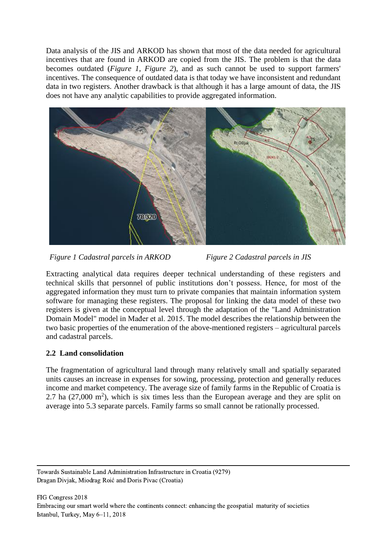Data analysis of the JIS and ARKOD has shown that most of the data needed for agricultural incentives that are found in ARKOD are copied from the JIS. The problem is that the data becomes outdated (*[Figure 1](#page-3-0)*, *[Figure 2](#page-3-1)*), and as such cannot be used to support farmers' incentives. The consequence of outdated data is that today we have inconsistent and redundant data in two registers. Another drawback is that although it has a large amount of data, the JIS does not have any analytic capabilities to provide aggregated information.



*Figure 1 Cadastral parcels in ARKOD Figure 2 Cadastral parcels in JIS*

<span id="page-3-1"></span>

<span id="page-3-0"></span>Extracting analytical data requires deeper technical understanding of these registers and technical skills that personnel of public institutions don't possess. Hence, for most of the aggregated information they must turn to private companies that maintain information system software for managing these registers. The proposal for linking the data model of these two registers is given at the conceptual level through the adaptation of the "Land Administration Domain Model" model in Mađer et al. 2015. The model describes the relationship between the two basic properties of the enumeration of the above-mentioned registers – agricultural parcels and cadastral parcels.

# **2.2 Land consolidation**

The fragmentation of agricultural land through many relatively small and spatially separated units causes an increase in expenses for sowing, processing, protection and generally reduces income and market competency. The average size of family farms in the Republic of Croatia is 2.7 ha  $(27,000 \text{ m}^2)$ , which is six times less than the European average and they are split on average into 5.3 separate parcels. Family farms so small cannot be rationally processed.

Towards Sustainable Land Administration Infrastructure in Croatia (9279) Dragan Divjak, Miodrag Roić and Doris Pivac (Croatia)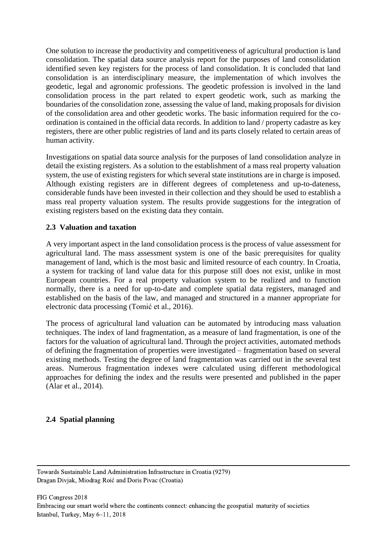One solution to increase the productivity and competitiveness of agricultural production is land consolidation. The spatial data source analysis report for the purposes of land consolidation identified seven key registers for the process of land consolidation. It is concluded that land consolidation is an interdisciplinary measure, the implementation of which involves the geodetic, legal and agronomic professions. The geodetic profession is involved in the land consolidation process in the part related to expert geodetic work, such as marking the boundaries of the consolidation zone, assessing the value of land, making proposals for division of the consolidation area and other geodetic works. The basic information required for the coordination is contained in the official data records. In addition to land / property cadastre as key registers, there are other public registries of land and its parts closely related to certain areas of human activity.

Investigations on spatial data source analysis for the purposes of land consolidation analyze in detail the existing registers. As a solution to the establishment of a mass real property valuation system, the use of existing registers for which several state institutions are in charge is imposed. Although existing registers are in different degrees of completeness and up-to-dateness, considerable funds have been invested in their collection and they should be used to establish a mass real property valuation system. The results provide suggestions for the integration of existing registers based on the existing data they contain.

### **2.3 Valuation and taxation**

A very important aspect in the land consolidation process is the process of value assessment for agricultural land. The mass assessment system is one of the basic prerequisites for quality management of land, which is the most basic and limited resource of each country. In Croatia, a system for tracking of land value data for this purpose still does not exist, unlike in most European countries. For a real property valuation system to be realized and to function normally, there is a need for up-to-date and complete spatial data registers, managed and established on the basis of the law, and managed and structured in a manner appropriate for electronic data processing (Tomić et al., 2016).

The process of agricultural land valuation can be automated by introducing mass valuation techniques. The index of land fragmentation, as a measure of land fragmentation, is one of the factors for the valuation of agricultural land. Through the project activities, automated methods of defining the fragmentation of properties were investigated – fragmentation based on several existing methods. Testing the degree of land fragmentation was carried out in the several test areas. Numerous fragmentation indexes were calculated using different methodological approaches for defining the index and the results were presented and published in the paper (Alar et al., 2014).

### **2.4 Spatial planning**

Towards Sustainable Land Administration Infrastructure in Croatia (9279) Dragan Divjak, Miodrag Roić and Doris Pivac (Croatia)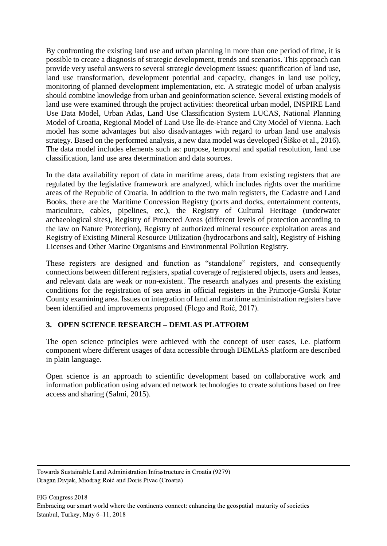By confronting the existing land use and urban planning in more than one period of time, it is possible to create a diagnosis of strategic development, trends and scenarios. This approach can provide very useful answers to several strategic development issues: quantification of land use, land use transformation, development potential and capacity, changes in land use policy, monitoring of planned development implementation, etc. A strategic model of urban analysis should combine knowledge from urban and geoinformation science. Several existing models of land use were examined through the project activities: theoretical urban model, INSPIRE Land Use Data Model, Urban Atlas, Land Use Classification System LUCAS, National Planning Model of Croatia, Regional Model of Land Use Île-de-France and City Model of Vienna. Each model has some advantages but also disadvantages with regard to urban land use analysis strategy. Based on the performed analysis, a new data model was developed (Šiško et al., 2016). The data model includes elements such as: purpose, temporal and spatial resolution, land use classification, land use area determination and data sources.

In the data availability report of data in maritime areas, data from existing registers that are regulated by the legislative framework are analyzed, which includes rights over the maritime areas of the Republic of Croatia. In addition to the two main registers, the Cadastre and Land Books, there are the Maritime Concession Registry (ports and docks, entertainment contents, mariculture, cables, pipelines, etc.), the Registry of Cultural Heritage (underwater archaeological sites), Registry of Protected Areas (different levels of protection according to the law on Nature Protection), Registry of authorized mineral resource exploitation areas and Registry of Existing Mineral Resource Utilization (hydrocarbons and salt), Registry of Fishing Licenses and Other Marine Organisms and Environmental Pollution Registry.

These registers are designed and function as "standalone" registers, and consequently connections between different registers, spatial coverage of registered objects, users and leases, and relevant data are weak or non-existent. The research analyzes and presents the existing conditions for the registration of sea areas in official registers in the Primorje-Gorski Kotar County examining area. Issues on integration of land and maritime administration registers have been identified and improvements proposed (Flego and Roić, 2017).

## **3. OPEN SCIENCE RESEARCH – DEMLAS PLATFORM**

The open science principles were achieved with the concept of user cases, i.e. platform component where different usages of data accessible through DEMLAS platform are described in plain language.

Open science is an approach to scientific development based on collaborative work and information publication using advanced network technologies to create solutions based on free access and sharing (Salmi, 2015).

Towards Sustainable Land Administration Infrastructure in Croatia (9279) Dragan Divjak, Miodrag Roić and Doris Pivac (Croatia)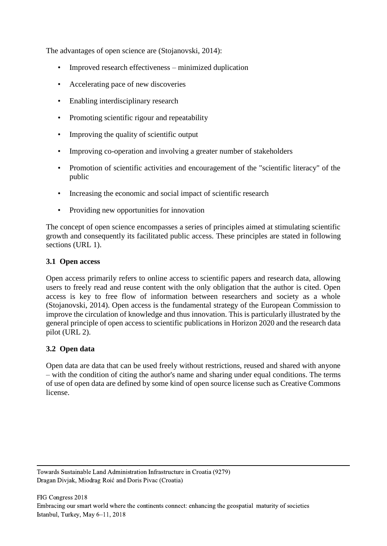The advantages of open science are (Stojanovski, 2014):

- Improved research effectiveness minimized duplication
- Accelerating pace of new discoveries
- Enabling interdisciplinary research
- Promoting scientific rigour and repeatability
- Improving the quality of scientific output
- Improving co-operation and involving a greater number of stakeholders
- Promotion of scientific activities and encouragement of the "scientific literacy" of the public
- Increasing the economic and social impact of scientific research
- Providing new opportunities for innovation

The concept of open science encompasses a series of principles aimed at stimulating scientific growth and consequently its facilitated public access. These principles are stated in following sections (URL 1).

#### **3.1 Open access**

Open access primarily refers to online access to scientific papers and research data, allowing users to freely read and reuse content with the only obligation that the author is cited. Open access is key to free flow of information between researchers and society as a whole (Stojanovski, 2014). Open access is the fundamental strategy of the European Commission to improve the circulation of knowledge and thus innovation. This is particularly illustrated by the general principle of open access to scientific publications in Horizon 2020 and the research data pilot (URL 2).

### **3.2 Open data**

Open data are data that can be used freely without restrictions, reused and shared with anyone – with the condition of citing the author's name and sharing under equal conditions. The terms of use of open data are defined by some kind of open source license such as Creative Commons license.

Towards Sustainable Land Administration Infrastructure in Croatia (9279) Dragan Divjak, Miodrag Roić and Doris Pivac (Croatia)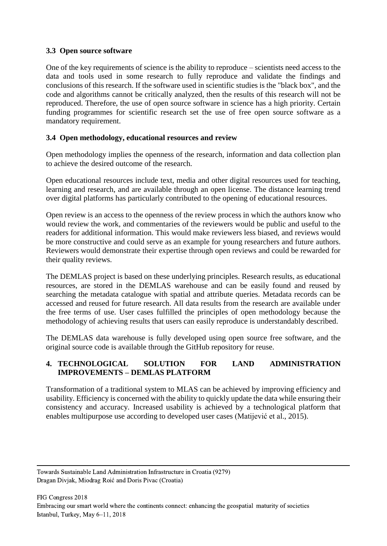### **3.3 Open source software**

One of the key requirements of science is the ability to reproduce ‒ scientists need access to the data and tools used in some research to fully reproduce and validate the findings and conclusions of this research. If the software used in scientific studies is the "black box", and the code and algorithms cannot be critically analyzed, then the results of this research will not be reproduced. Therefore, the use of open source software in science has a high priority. Certain funding programmes for scientific research set the use of free open source software as a mandatory requirement.

### **3.4 Open methodology, educational resources and review**

Open methodology implies the openness of the research, information and data collection plan to achieve the desired outcome of the research.

Open educational resources include text, media and other digital resources used for teaching, learning and research, and are available through an open license. The distance learning trend over digital platforms has particularly contributed to the opening of educational resources.

Open review is an access to the openness of the review process in which the authors know who would review the work, and commentaries of the reviewers would be public and useful to the readers for additional information. This would make reviewers less biased, and reviews would be more constructive and could serve as an example for young researchers and future authors. Reviewers would demonstrate their expertise through open reviews and could be rewarded for their quality reviews.

The DEMLAS project is based on these underlying principles. Research results, as educational resources, are stored in the DEMLAS warehouse and can be easily found and reused by searching the metadata catalogue with spatial and attribute queries. Metadata records can be accessed and reused for future research. All data results from the research are available under the free terms of use. User cases fulfilled the principles of open methodology because the methodology of achieving results that users can easily reproduce is understandably described.

The DEMLAS data warehouse is fully developed using open source free software, and the original source code is available through the GitHub repository for reuse.

### **4. TECHNOLOGICAL SOLUTION FOR LAND ADMINISTRATION IMPROVEMENTS – DEMLAS PLATFORM**

Transformation of a traditional system to MLAS can be achieved by improving efficiency and usability. Efficiency is concerned with the ability to quickly update the data while ensuring their consistency and accuracy. Increased usability is achieved by a technological platform that enables multipurpose use according to developed user cases (Matijević et al., 2015).

Towards Sustainable Land Administration Infrastructure in Croatia (9279) Dragan Divjak, Miodrag Roić and Doris Pivac (Croatia)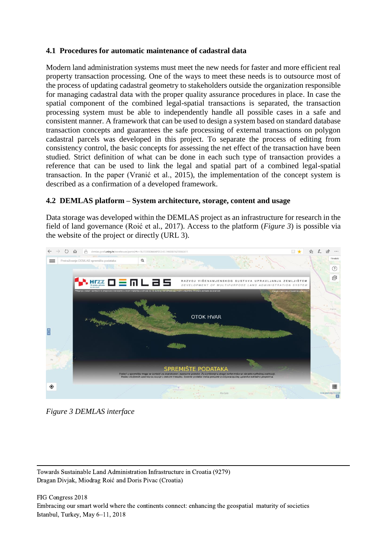### **4.1 Procedures for automatic maintenance of cadastral data**

Modern land administration systems must meet the new needs for faster and more efficient real property transaction processing. One of the ways to meet these needs is to outsource most of the process of updating cadastral geometry to stakeholders outside the organization responsible for managing cadastral data with the proper quality assurance procedures in place. In case the spatial component of the combined legal-spatial transactions is separated, the transaction processing system must be able to independently handle all possible cases in a safe and consistent manner. A framework that can be used to design a system based on standard database transaction concepts and guarantees the safe processing of external transactions on polygon cadastral parcels was developed in this project. To separate the process of editing from consistency control, the basic concepts for assessing the net effect of the transaction have been studied. Strict definition of what can be done in each such type of transaction provides a reference that can be used to link the legal and spatial part of a combined legal-spatial transaction. In the paper (Vranić et al., 2015), the implementation of the concept system is described as a confirmation of a developed framework.

### **4.2 DEMLAS platform – System architecture, storage, content and usage**

Data storage was developed within the DEMLAS project as an infrastructure for research in the field of land governance (Roić et al., 2017). Access to the platform (*[Figure 3](#page-8-0)*) is possible via the website of the project or directly (URL 3).

<span id="page-8-0"></span>

*Figure 3 DEMLAS interface*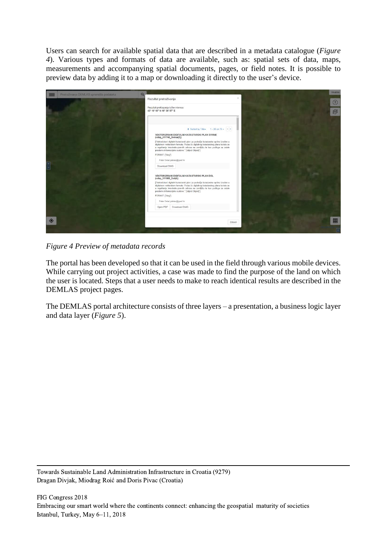Users can search for available spatial data that are described in a metadata catalogue (*[Figure](#page-9-0)  [4](#page-9-0)*). Various types and formats of data are available, such as: spatial sets of data, maps, measurements and accompanying spatial documents, pages, or field notes. It is possible to preview data by adding it to a map or downloading it directly to the user's device.



*Figure 4 Preview of metadata records*

<span id="page-9-0"></span>The portal has been developed so that it can be used in the field through various mobile devices. While carrying out project activities, a case was made to find the purpose of the land on which the user is located. Steps that a user needs to make to reach identical results are described in the DEMLAS project pages.

The DEMLAS portal architecture consists of three layers – a presentation, a business logic layer and data layer (*[Figure 5](#page-10-0)*).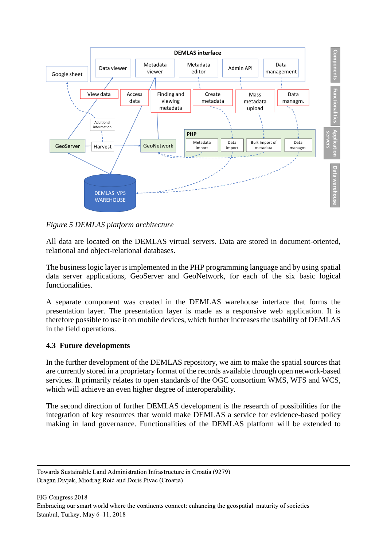

<span id="page-10-0"></span>*Figure 5 DEMLAS platform architecture*

All data are located on the DEMLAS virtual servers. Data are stored in document-oriented, relational and object-relational databases.

The business logic layer is implemented in the PHP programming language and by using spatial data server applications, GeoServer and GeoNetwork, for each of the six basic logical functionalities.

A separate component was created in the DEMLAS warehouse interface that forms the presentation layer. The presentation layer is made as a responsive web application. It is therefore possible to use it on mobile devices, which further increases the usability of DEMLAS in the field operations.

## **4.3 Future developments**

In the further development of the DEMLAS repository, we aim to make the spatial sources that are currently stored in a proprietary format of the records available through open network-based services. It primarily relates to open standards of the OGC consortium WMS, WFS and WCS, which will achieve an even higher degree of interoperability.

The second direction of further DEMLAS development is the research of possibilities for the integration of key resources that would make DEMLAS a service for evidence-based policy making in land governance. Functionalities of the DEMLAS platform will be extended to

Towards Sustainable Land Administration Infrastructure in Croatia (9279) Dragan Divjak, Miodrag Roić and Doris Pivac (Croatia)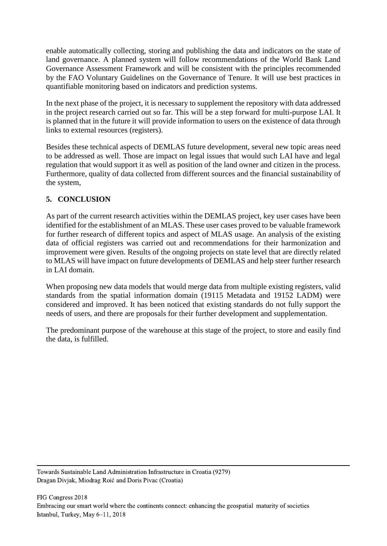enable automatically collecting, storing and publishing the data and indicators on the state of land governance. A planned system will follow recommendations of the World Bank Land Governance Assessment Framework and will be consistent with the principles recommended by the FAO Voluntary Guidelines on the Governance of Tenure. It will use best practices in quantifiable monitoring based on indicators and prediction systems.

In the next phase of the project, it is necessary to supplement the repository with data addressed in the project research carried out so far. This will be a step forward for multi-purpose LAI. It is planned that in the future it will provide information to users on the existence of data through links to external resources (registers).

Besides these technical aspects of DEMLAS future development, several new topic areas need to be addressed as well. Those are impact on legal issues that would such LAI have and legal regulation that would support it as well as position of the land owner and citizen in the process. Furthermore, quality of data collected from different sources and the financial sustainability of the system,

## **5. CONCLUSION**

As part of the current research activities within the DEMLAS project, key user cases have been identified for the establishment of an MLAS. These user cases proved to be valuable framework for further research of different topics and aspect of MLAS usage. An analysis of the existing data of official registers was carried out and recommendations for their harmonization and improvement were given. Results of the ongoing projects on state level that are directly related to MLAS will have impact on future developments of DEMLAS and help steer further research in LAI domain.

When proposing new data models that would merge data from multiple existing registers, valid standards from the spatial information domain (19115 Metadata and 19152 LADM) were considered and improved. It has been noticed that existing standards do not fully support the needs of users, and there are proposals for their further development and supplementation.

The predominant purpose of the warehouse at this stage of the project, to store and easily find the data, is fulfilled.

Towards Sustainable Land Administration Infrastructure in Croatia (9279) Dragan Divjak, Miodrag Roić and Doris Pivac (Croatia)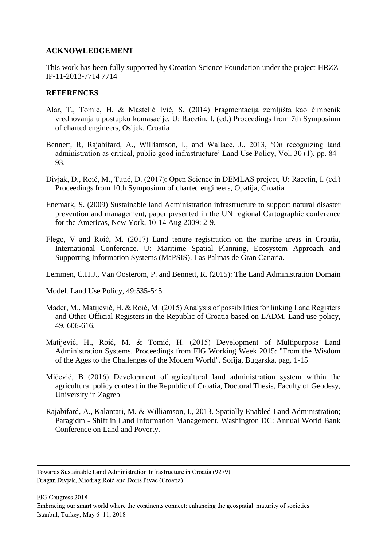#### **ACKNOWLEDGEMENT**

This work has been fully supported by Croatian Science Foundation under the project HRZZ-IP-11-2013-7714 7714

#### **REFERENCES**

- Alar, T., Tomić, H. & Mastelić Ivić, S. (2014) Fragmentacija zemljišta kao čimbenik vrednovanja u postupku komasacije. U: Racetin, I. (ed.) Proceedings from 7th Symposium of charted engineers, Osijek, Croatia
- Bennett, R, Rajabifard, A., Williamson, I., and Wallace, J., 2013, 'On recognizing land administration as critical, public good infrastructure' Land Use Policy, Vol. 30 (1), pp. 84– 93.
- Divjak, D., Roić, M., Tutić, D. (2017): Open Science in DEMLAS project, U: Racetin, I. (ed.) Proceedings from 10th Symposium of charted engineers, Opatija, Croatia
- Enemark, S. (2009) Sustainable land Administration infrastructure to support natural disaster prevention and management, paper presented in the UN regional Cartographic conference for the Americas, New York, 10-14 Aug 2009: 2-9.
- Flego, V and Roić, M. (2017) Land tenure registration on the marine areas in Croatia, International Conference. U: Maritime Spatial Planning, Ecosystem Approach and Supporting Information Systems (MaPSIS). Las Palmas de Gran Canaria.
- Lemmen, C.H.J., Van Oosterom, P. and Bennett, R. (2015): The Land Administration Domain

Model. Land Use Policy, 49:535-545

- Mađer, M., Matijević, H. & Roić, M. (2015) Analysis of possibilities for linking Land Registers and Other Official Registers in the Republic of Croatia based on LADM. Land use policy, 49, 606-616.
- Matijević, H., Roić, M. & Tomić, H. (2015) Development of Multipurpose Land Administration Systems. Proceedings from FIG Working Week 2015: "From the Wisdom of the Ages to the Challenges of the Modern World". Sofija, Bugarska, pag. 1-15
- Mičević, B (2016) Development of agricultural land administration system within the agricultural policy context in the Republic of Croatia, Doctoral Thesis, Faculty of Geodesy, University in Zagreb
- Rajabifard, A., Kalantari, M. & Williamson, I., 2013. Spatially Enabled Land Administration; Paragidm - Shift in Land Information Management, Washington DC: Annual World Bank Conference on Land and Poverty.

Towards Sustainable Land Administration Infrastructure in Croatia (9279) Dragan Divjak, Miodrag Roić and Doris Pivac (Croatia)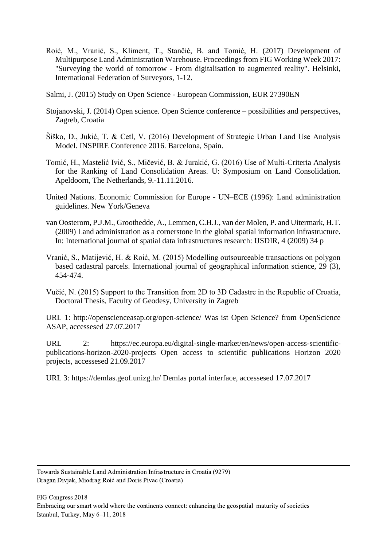- Roić, M., Vranić, S., Kliment, T., Stančić, B. and Tomić, H. (2017) Development of Multipurpose Land Administration Warehouse. Proceedings from FIG Working Week 2017: "Surveying the world of tomorrow - From digitalisation to augmented reality". Helsinki, International Federation of Surveyors, 1-12.
- Salmi, J. (2015) Study on Open Science European Commission, EUR 27390EN
- Stojanovski, J. (2014) Open science. Open Science conference possibilities and perspectives, Zagreb, Croatia
- Šiško, D., Jukić, T. & Cetl, V. (2016) Development of Strategic Urban Land Use Analysis Model. INSPIRE Conference 2016. Barcelona, Spain.
- Tomić, H., Mastelić Ivić, S., Mičević, B. & Jurakić, G. (2016) Use of Multi-Criteria Analysis for the Ranking of Land Consolidation Areas. U: Symposium on Land Consolidation. Apeldoorn, The Netherlands, 9.-11.11.2016.
- United Nations. Economic Commission for Europe UN–ECE (1996): Land administration guidelines. New York/Geneva
- van Oosterom, P.J.M., Groothedde, A., Lemmen, C.H.J., van der Molen, P. and Uitermark, H.T. (2009) Land administration as a cornerstone in the global spatial information infrastructure. In: International journal of spatial data infrastructures research: IJSDIR, 4 (2009) 34 p
- Vranić, S., Matijević, H. & Roić, M. (2015) Modelling outsourceable transactions on polygon based cadastral parcels. International journal of geographical information science, 29 (3), 454-474.
- Vučić, N. (2015) Support to the Transition from 2D to 3D Cadastre in the Republic of Croatia, Doctoral Thesis, Faculty of Geodesy, University in Zagreb

URL 1: http://openscienceasap.org/open-science/ Was ist Open Science? from OpenScience ASAP, accessesed 27.07.2017

URL 2: https://ec.europa.eu/digital-single-market/en/news/open-access-scientificpublications-horizon-2020-projects Open access to scientific publications Horizon 2020 projects, accessesed 21.09.2017

URL 3: https://demlas.geof.unizg.hr/ Demlas portal interface, accessesed 17.07.2017

Towards Sustainable Land Administration Infrastructure in Croatia (9279) Dragan Divjak, Miodrag Roić and Doris Pivac (Croatia)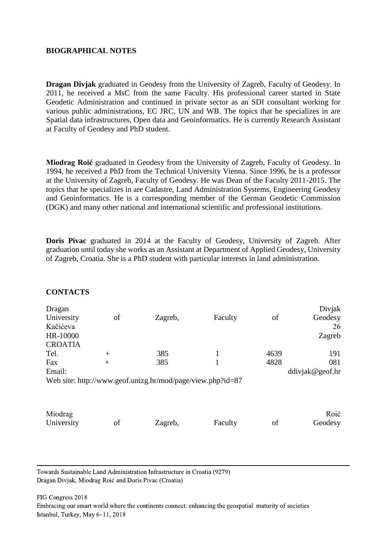#### **BIOGRAPHICAL NOTES**

**Dragan Divjak** graduated in Geodesy from the University of Zagreb, Faculty of Geodesy. In 2011, he received a MsC from the same Faculty. His professional career started in State Geodetic Administration and continued in private sector as an SDI consultant working for various public administrations, EC JRC, UN and WB. The topics that he specializes in are Spatial data infrastructures, Open data and Geoinformatics. He is currently Research Assistant at Faculty of Geodesy and PhD student.

**Miodrag Roić** graduated in Geodesy from the University of Zagreb, Faculty of Geodesy. In 1994, he received a PhD from the Technical University Vienna. Since 1996, he is a professor at the University of Zagreb, Faculty of Geodesy. He was Dean of the Faculty 2011-2015. The topics that he specializes in are Cadastre, Land Administration Systems, Engineering Geodesy and Geoinformatics. He is a corresponding member of the German Geodetic Commission (DGK) and many other national and international scientific and professional institutions.

**Doris Pivac** graduated in 2014 at the Faculty of Geodesy, University of Zagreb. After graduation until today she works as an Assistant at Department of Applied Geodesy, University of Zagreb, Croatia. She is a PhD student with particular interests in land administration.

| Dragan         |        |                                                            |         |      | Divjak          |
|----------------|--------|------------------------------------------------------------|---------|------|-----------------|
| University     | of     | Zagreb,                                                    | Faculty | of   | Geodesy         |
| Kačićeva       |        |                                                            |         |      | 26              |
| HR-10000       |        |                                                            |         |      | Zagreb          |
| <b>CROATIA</b> |        |                                                            |         |      |                 |
| Tel.           | $^{+}$ | 385                                                        |         | 4639 | 191             |
| Fax            | $^{+}$ | 385                                                        |         | 4828 | 081             |
| Email:         |        |                                                            |         |      | ddivjak@geof.hr |
|                |        | Web site: http://www.geof.unizg.hr/mod/page/view.php?id=87 |         |      |                 |
|                |        |                                                            |         |      |                 |
|                |        |                                                            |         |      |                 |
|                |        |                                                            |         |      |                 |
| Miodrag        |        |                                                            |         |      | Roić            |
| University     | of     | Zagreb,                                                    | Faculty | of   | Geodesy         |
|                |        |                                                            |         |      |                 |

#### **CONTACTS**